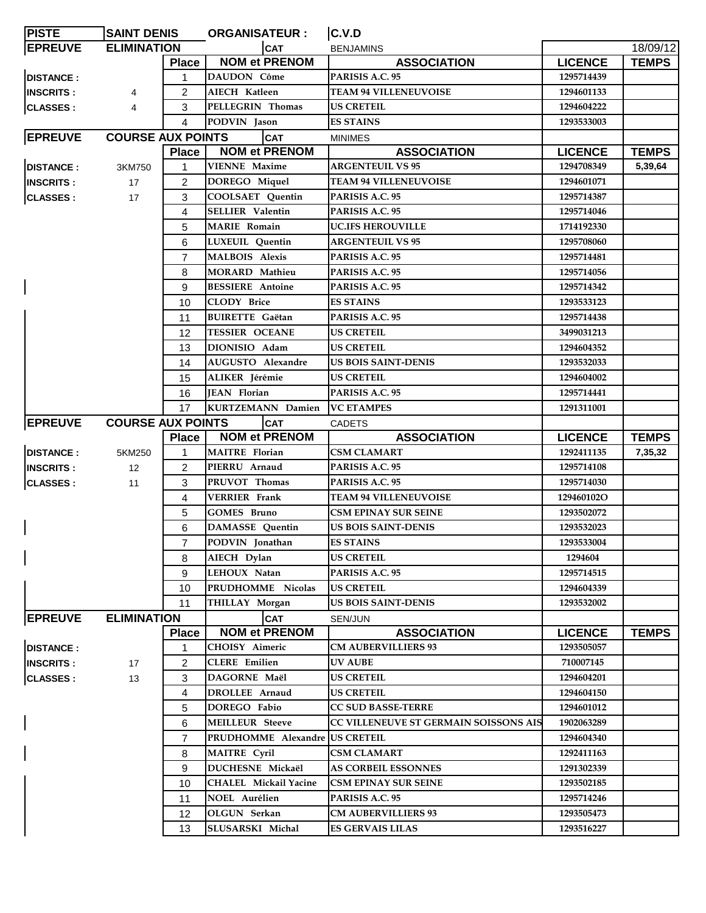| <b>PISTE</b>     | <b>SAINT DENIS</b>       |                     | <b>ORGANISATEUR :</b>                         | C.V.D                                                 |                              |              |
|------------------|--------------------------|---------------------|-----------------------------------------------|-------------------------------------------------------|------------------------------|--------------|
| <b>EPREUVE</b>   | <b>ELIMINATION</b>       |                     | <b>CAT</b>                                    | <b>BENJAMINS</b>                                      |                              | 18/09/12     |
|                  |                          | Place               | <b>NOM et PRENOM</b>                          | <b>ASSOCIATION</b>                                    | <b>LICENCE</b>               | <b>TEMPS</b> |
| <b>DISTANCE:</b> |                          |                     | DAUDON Côme                                   | PARISIS A.C. 95                                       | 1295714439                   |              |
| <b>INSCRITS:</b> | 4                        | 2                   | AIECH Katleen                                 | <b>TEAM 94 VILLENEUVOISE</b>                          | 1294601133                   |              |
| <b>CLASSES:</b>  | 4                        | 3                   | PELLEGRIN Thomas                              | US CRETEIL                                            | 1294604222                   |              |
|                  |                          | 4                   | PODVIN Jason                                  | <b>ES STAINS</b>                                      | 1293533003                   |              |
| <b>EPREUVE</b>   | <b>COURSE AUX POINTS</b> |                     | <b>CAT</b>                                    | <b>MINIMES</b>                                        |                              |              |
|                  |                          | <b>Place</b>        | <b>NOM et PRENOM</b>                          | <b>ASSOCIATION</b>                                    | <b>LICENCE</b>               | <b>TEMPS</b> |
| <b>DISTANCE:</b> | 3KM750                   | 1                   | <b>VIENNE Maxime</b>                          | <b>ARGENTEUIL VS 95</b>                               | 1294708349                   | 5,39,64      |
| <b>INSCRITS:</b> | 17                       | 2                   | DOREGO Miquel                                 | <b>TEAM 94 VILLENEUVOISE</b>                          | 1294601071                   |              |
| <b>CLASSES:</b>  | 17                       | 3                   | COOLSAET Quentin                              | PARISIS A.C. 95                                       | 1295714387                   |              |
|                  |                          | 4                   | <b>SELLIER Valentin</b>                       | PARISIS A.C. 95                                       | 1295714046                   |              |
|                  |                          | 5                   | <b>MARIE</b> Romain                           | <b>UC.IFS HEROUVILLE</b>                              | 1714192330                   |              |
|                  |                          | 6                   | LUXEUIL Quentin                               | <b>ARGENTEUIL VS 95</b>                               | 1295708060                   |              |
|                  |                          | $\overline{7}$      | <b>MALBOIS Alexis</b>                         | PARISIS A.C. 95                                       | 1295714481                   |              |
|                  |                          | 8                   | <b>MORARD Mathieu</b>                         | PARISIS A.C. 95                                       | 1295714056                   |              |
|                  |                          | 9                   | <b>BESSIERE</b> Antoine                       | PARISIS A.C. 95                                       | 1295714342                   |              |
|                  |                          | 10                  | <b>CLODY Brice</b>                            | <b>ES STAINS</b>                                      | 1293533123                   |              |
|                  |                          | 11                  | <b>BUIRETTE</b> Gaëtan                        | PARISIS A.C. 95                                       | 1295714438                   |              |
|                  |                          | 12                  | <b>TESSIER OCEANE</b>                         | <b>US CRETEIL</b>                                     | 3499031213                   |              |
|                  |                          | 13                  | DIONISIO Adam                                 | <b>US CRETEIL</b>                                     | 1294604352                   |              |
|                  |                          | 14                  | AUGUSTO Alexandre                             | <b>US BOIS SAINT-DENIS</b>                            | 1293532033                   |              |
|                  |                          | 15                  | ALIKER Jérémie                                | US CRETEIL                                            | 1294604002                   |              |
|                  |                          | 16                  | <b>JEAN Florian</b>                           | PARISIS A.C. 95                                       | 1295714441                   |              |
|                  |                          | 17                  | KURTZEMANN Damien                             | <b>VC ETAMPES</b>                                     | 1291311001                   |              |
| <b>EPREUVE</b>   | <b>COURSE AUX POINTS</b> |                     | <b>CAT</b>                                    | <b>CADETS</b>                                         |                              |              |
|                  |                          | <b>Place</b>        | <b>NOM et PRENOM</b>                          | <b>ASSOCIATION</b>                                    | <b>LICENCE</b>               | <b>TEMPS</b> |
| <b>DISTANCE:</b> | 5KM250                   |                     | <b>MAITRE</b> Florian                         | <b>CSM CLAMART</b>                                    | 1292411135                   | 7,35,32      |
| <b>INSCRITS:</b> | 12                       | 2                   | PIERRU Arnaud                                 | PARISIS A.C. 95                                       | 1295714108                   |              |
| CLASSES :        | 11                       | 3                   | PRUVOT Thomas                                 | PARISIS A.C. 95                                       | 1295714030                   |              |
|                  |                          | 4                   | <b>VERRIER Frank</b>                          | <b>TEAM 94 VILLENEUVOISE</b>                          | 129460102O                   |              |
|                  |                          | 5                   | <b>GOMES Bruno</b>                            | <b>CSM EPINAY SUR SEINE</b>                           | 1293502072                   |              |
|                  |                          | 6                   | <b>DAMASSE</b> Quentin                        | <b>US BOIS SAINT-DENIS</b>                            | 1293532023                   |              |
|                  |                          | 7                   | PODVIN Jonathan                               | <b>ES STAINS</b>                                      | 1293533004                   |              |
|                  |                          | 8                   | AIECH Dylan                                   | <b>US CRETEIL</b>                                     | 1294604                      |              |
|                  |                          | 9                   | LEHOUX Natan                                  | PARISIS A.C. 95                                       | 1295714515                   |              |
|                  |                          | 10                  | PRUDHOMME Nicolas                             | <b>US CRETEIL</b>                                     | 1294604339                   |              |
|                  |                          | 11                  | THILLAY Morgan                                | <b>US BOIS SAINT-DENIS</b>                            | 1293532002                   |              |
| <b>EPREUVE</b>   |                          |                     |                                               |                                                       |                              |              |
|                  |                          |                     |                                               |                                                       |                              |              |
|                  | <b>ELIMINATION</b>       |                     | <b>CAT</b>                                    | SEN/JUN                                               |                              |              |
|                  |                          | <b>Place</b><br>1   | <b>NOM et PRENOM</b><br><b>CHOISY</b> Aimeric | <b>ASSOCIATION</b><br><b>CM AUBERVILLIERS 93</b>      | <b>LICENCE</b><br>1293505057 | <b>TEMPS</b> |
| <b>DISTANCE:</b> |                          |                     | <b>CLERE</b> Emilien                          | UV AUBE                                               | 710007145                    |              |
| <b>INSCRITS:</b> | 17                       | $\overline{c}$<br>3 | DAGORNE Maël                                  | <b>US CRETEIL</b>                                     | 1294604201                   |              |
| <b>CLASSES:</b>  | 13                       | 4                   | <b>DROLLEE</b> Arnaud                         | US CRETEIL                                            | 1294604150                   |              |
|                  |                          |                     |                                               | <b>CC SUD BASSE-TERRE</b>                             | 1294601012                   |              |
|                  |                          | 5                   | DOREGO Fabio<br><b>MEILLEUR Steeve</b>        | CC VILLENEUVE ST GERMAIN SOISSONS AIS                 | 1902063289                   |              |
|                  |                          | 6<br>$\overline{7}$ | PRUDHOMME Alexandre US CRETEIL                |                                                       | 1294604340                   |              |
|                  |                          |                     |                                               | <b>CSM CLAMART</b>                                    | 1292411163                   |              |
|                  |                          | 8                   | <b>MAITRE</b> Cyril<br>DUCHESNE Mickaël       | <b>AS CORBEIL ESSONNES</b>                            | 1291302339                   |              |
|                  |                          | 9                   |                                               | CSM EPINAY SUR SEINE                                  | 1293502185                   |              |
|                  |                          | 10                  | <b>CHALEL Mickail Yacine</b>                  |                                                       |                              |              |
|                  |                          | 11                  | NOEL Aurélien                                 | PARISIS A.C. 95                                       | 1295714246                   |              |
|                  |                          | 12<br>13            | OLGUN Serkan<br>SLUSARSKI Michal              | <b>CM AUBERVILLIERS 93</b><br><b>ES GERVAIS LILAS</b> | 1293505473<br>1293516227     |              |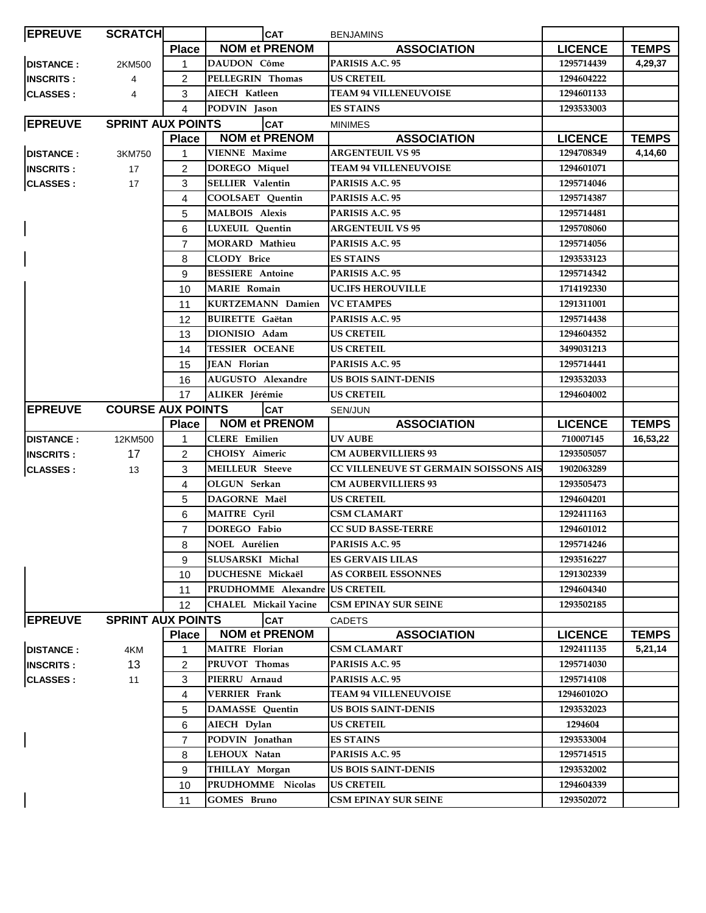| <b>EPREUVE</b>   | <b>SCRATCH</b>           |                | <b>CAT</b>                       | <b>BENJAMINS</b>                      |                |              |
|------------------|--------------------------|----------------|----------------------------------|---------------------------------------|----------------|--------------|
|                  |                          | <b>Place</b>   | <b>NOM et PRENOM</b>             | <b>ASSOCIATION</b>                    | <b>LICENCE</b> | <b>TEMPS</b> |
| <b>DISTANCE:</b> | 2KM500                   | $\mathbf{1}$   | DAUDON Côme                      | PARISIS A.C. 95                       | 1295714439     | 4,29,37      |
| <b>INSCRITS:</b> | 4                        | 2              | PELLEGRIN Thomas                 | <b>US CRETEIL</b>                     | 1294604222     |              |
| CLASSES :        | 4                        | 3              | AIECH Katleen                    | <b>TEAM 94 VILLENEUVOISE</b>          | 1294601133     |              |
|                  |                          | 4              | PODVIN Jason                     | <b>ES STAINS</b>                      | 1293533003     |              |
| <b>EPREUVE</b>   | <b>SPRINT AUX POINTS</b> |                | <b>CAT</b>                       | <b>MINIMES</b>                        |                |              |
|                  |                          | <b>Place</b>   | <b>NOM et PRENOM</b>             | <b>ASSOCIATION</b>                    | <b>LICENCE</b> | <b>TEMPS</b> |
| <b>DISTANCE:</b> | 3KM750                   | 1              | <b>VIENNE Maxime</b>             | <b>ARGENTEUIL VS 95</b>               | 1294708349     | 4,14,60      |
| <b>INSCRITS:</b> | 17                       | 2              | DOREGO Miquel                    | <b>TEAM 94 VILLENEUVOISE</b>          | 1294601071     |              |
| <b>CLASSES:</b>  | 17                       | 3              | <b>SELLIER</b> Valentin          | PARISIS A.C. 95                       | 1295714046     |              |
|                  |                          | 4              | COOLSAET Quentin                 | PARISIS A.C. 95                       | 1295714387     |              |
|                  |                          | 5              | <b>MALBOIS Alexis</b>            | PARISIS A.C. 95                       | 1295714481     |              |
|                  |                          | 6              | LUXEUIL Quentin                  | <b>ARGENTEUIL VS 95</b>               | 1295708060     |              |
|                  |                          | $\overline{7}$ | <b>MORARD</b> Mathieu            | PARISIS A.C. 95                       | 1295714056     |              |
|                  |                          | 8              | <b>CLODY Brice</b>               | <b>ES STAINS</b>                      | 1293533123     |              |
|                  |                          | 9              | <b>BESSIERE</b> Antoine          | PARISIS A.C. 95                       | 1295714342     |              |
|                  |                          | 10             | <b>MARIE</b> Romain              | <b>UC.IFS HEROUVILLE</b>              | 1714192330     |              |
|                  |                          | 11             | KURTZEMANN Damien                | <b>VC ETAMPES</b>                     | 1291311001     |              |
|                  |                          | 12             | <b>BUIRETTE Gaëtan</b>           | PARISIS A.C. 95                       | 1295714438     |              |
|                  |                          | 13             | DIONISIO Adam                    | <b>US CRETEIL</b>                     | 1294604352     |              |
|                  |                          | 14             | <b>TESSIER OCEANE</b>            | <b>US CRETEIL</b>                     | 3499031213     |              |
|                  |                          | 15             | <b>JEAN Florian</b>              | PARISIS A.C. 95                       | 1295714441     |              |
|                  |                          | 16             | AUGUSTO Alexandre                | <b>US BOIS SAINT-DENIS</b>            | 1293532033     |              |
|                  |                          | 17             | ALIKER Jérémie                   | <b>US CRETEIL</b>                     | 1294604002     |              |
| <b>EPREUVE</b>   | <b>COURSE AUX POINTS</b> |                | <b>CAT</b>                       | SEN/JUN                               |                |              |
|                  |                          |                | <b>NOM et PRENOM</b>             |                                       |                |              |
|                  |                          | <b>Place</b>   |                                  | <b>ASSOCIATION</b>                    | <b>LICENCE</b> | <b>TEMPS</b> |
| <b>DISTANCE:</b> | 12KM500                  | 1              | <b>CLERE</b> Emilien             | <b>UV AUBE</b>                        | 710007145      | 16,53,22     |
| <b>INSCRITS:</b> | 17                       | 2              | <b>CHOISY Aimeric</b>            | <b>CM AUBERVILLIERS 93</b>            | 1293505057     |              |
| <b>CLASSES:</b>  | 13                       | 3              | <b>MEILLEUR Steeve</b>           | CC VILLENEUVE ST GERMAIN SOISSONS AIS | 1902063289     |              |
|                  |                          | 4              | OLGUN Serkan                     | <b>CM AUBERVILLIERS 93</b>            | 1293505473     |              |
|                  |                          | 5              | DAGORNE Maël                     | <b>US CRETEIL</b>                     | 1294604201     |              |
|                  |                          | 6              | <b>MAITRE Cyril</b>              | <b>CSM CLAMART</b>                    | 1292411163     |              |
|                  |                          | 7              | DOREGO Fabio                     | <b>CC SUD BASSE-TERRE</b>             | 1294601012     |              |
|                  |                          | 8              | NOEL Aurélien                    | PARISIS A.C. 95                       | 1295714246     |              |
|                  |                          | 9              | SLUSARSKI Michal                 | <b>ES GERVAIS LILAS</b>               | 1293516227     |              |
|                  |                          | 10             | DUCHESNE Mickaël                 | <b>AS CORBEIL ESSONNES</b>            | 1291302339     |              |
|                  |                          | 11             | PRUDHOMME Alexandre US CRETEIL   |                                       | 1294604340     |              |
|                  |                          | 12             | <b>CHALEL Mickail Yacine</b>     | <b>CSM EPINAY SUR SEINE</b>           | 1293502185     |              |
| <b>EPREUVE</b>   | <b>SPRINT AUX POINTS</b> |                | <b>CAT</b>                       | <b>CADETS</b>                         |                |              |
|                  |                          | <b>Place</b>   | <b>NOM et PRENOM</b>             | <b>ASSOCIATION</b>                    | <b>LICENCE</b> | <b>TEMPS</b> |
| <b>DISTANCE:</b> | 4KM                      | 1              | <b>MAITRE</b> Florian            | <b>CSM CLAMART</b>                    | 1292411135     | 5,21,14      |
| <b>INSCRITS:</b> | 13                       | 2              | PRUVOT Thomas                    | PARISIS A.C. 95                       | 1295714030     |              |
| <b>CLASSES:</b>  | 11                       | 3              | PIERRU Arnaud                    | PARISIS A.C. 95                       | 1295714108     |              |
|                  |                          | 4              | <b>VERRIER Frank</b>             | <b>TEAM 94 VILLENEUVOISE</b>          | 129460102O     |              |
|                  |                          | 5              | <b>DAMASSE</b> Quentin           | <b>US BOIS SAINT-DENIS</b>            | 1293532023     |              |
|                  |                          | 6              | AIECH Dylan                      | <b>US CRETEIL</b>                     | 1294604        |              |
|                  |                          | 7              | PODVIN Jonathan                  | <b>ES STAINS</b>                      | 1293533004     |              |
|                  |                          | 8              | LEHOUX Natan                     | PARISIS A.C. 95                       | 1295714515     |              |
|                  |                          | 9              | THILLAY Morgan                   | <b>US BOIS SAINT-DENIS</b>            | 1293532002     |              |
|                  |                          | 10             | PRUDHOMME Nicolas<br>GOMES Bruno | <b>US CRETEIL</b>                     | 1294604339     |              |